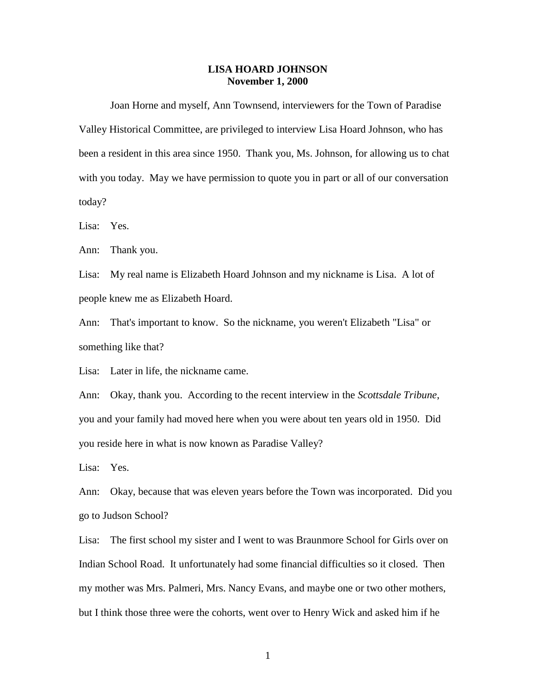## **LISA HOARD JOHNSON November 1, 2000**

Joan Horne and myself, Ann Townsend, interviewers for the Town of Paradise Valley Historical Committee, are privileged to interview Lisa Hoard Johnson, who has been a resident in this area since 1950. Thank you, Ms. Johnson, for allowing us to chat with you today. May we have permission to quote you in part or all of our conversation today?

Lisa: Yes.

Ann: Thank you.

Lisa: My real name is Elizabeth Hoard Johnson and my nickname is Lisa. A lot of people knew me as Elizabeth Hoard.

Ann: That's important to know. So the nickname, you weren't Elizabeth "Lisa" or something like that?

Lisa: Later in life, the nickname came.

Ann: Okay, thank you. According to the recent interview in the *Scottsdale Tribune*, you and your family had moved here when you were about ten years old in 1950. Did you reside here in what is now known as Paradise Valley?

Lisa: Yes.

Ann: Okay, because that was eleven years before the Town was incorporated. Did you go to Judson School?

Lisa: The first school my sister and I went to was Braunmore School for Girls over on Indian School Road. It unfortunately had some financial difficulties so it closed. Then my mother was Mrs. Palmeri, Mrs. Nancy Evans, and maybe one or two other mothers, but I think those three were the cohorts, went over to Henry Wick and asked him if he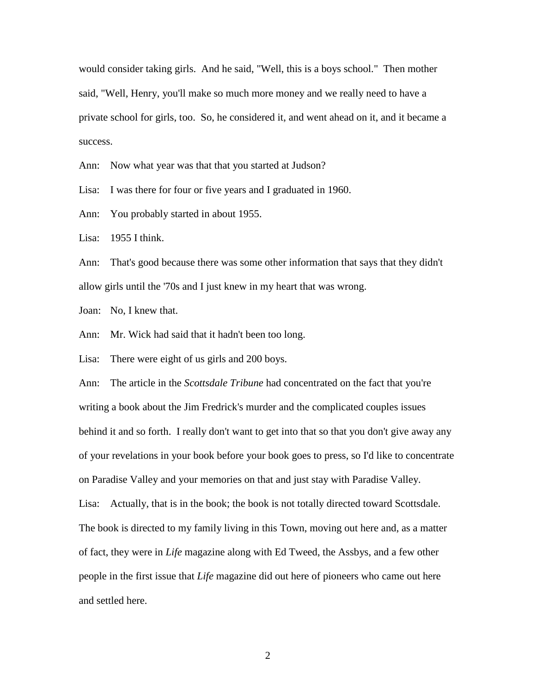would consider taking girls. And he said, "Well, this is a boys school." Then mother said, "Well, Henry, you'll make so much more money and we really need to have a private school for girls, too. So, he considered it, and went ahead on it, and it became a success.

Ann: Now what year was that that you started at Judson?

Lisa: I was there for four or five years and I graduated in 1960.

Ann: You probably started in about 1955.

Lisa: 1955 I think.

Ann: That's good because there was some other information that says that they didn't allow girls until the '70s and I just knew in my heart that was wrong.

Joan: No, I knew that.

Ann: Mr. Wick had said that it hadn't been too long.

Lisa: There were eight of us girls and 200 boys.

Ann: The article in the *Scottsdale Tribune* had concentrated on the fact that you're writing a book about the Jim Fredrick's murder and the complicated couples issues behind it and so forth. I really don't want to get into that so that you don't give away any of your revelations in your book before your book goes to press, so I'd like to concentrate on Paradise Valley and your memories on that and just stay with Paradise Valley. Lisa: Actually, that is in the book; the book is not totally directed toward Scottsdale. The book is directed to my family living in this Town, moving out here and, as a matter of fact, they were in *Life* magazine along with Ed Tweed, the Assbys, and a few other people in the first issue that *Life* magazine did out here of pioneers who came out here and settled here.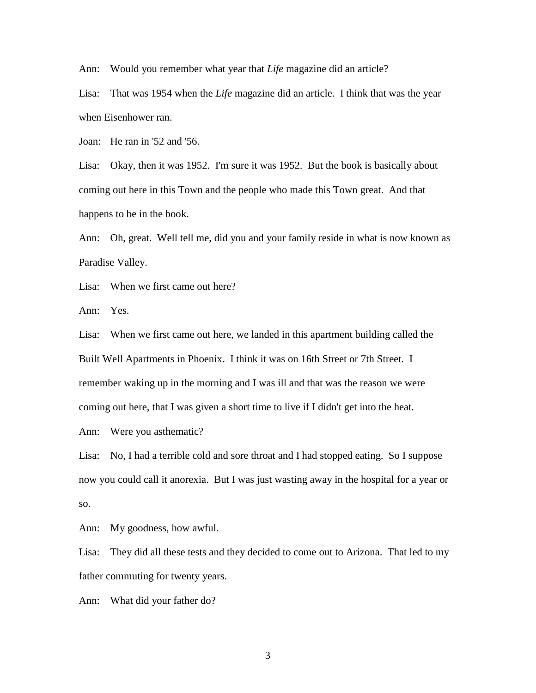Ann: Would you remember what year that *Life* magazine did an article?

Lisa: That was 1954 when the *Life* magazine did an article. I think that was the year when Eisenhower ran.

Joan: He ran in '52 and '56.

Lisa: Okay, then it was 1952. I'm sure it was 1952. But the book is basically about coming out here in this Town and the people who made this Town great. And that happens to be in the book.

Ann: Oh, great. Well tell me, did you and your family reside in what is now known as Paradise Valley.

Lisa: When we first came out here?

Ann: Yes.

Lisa: When we first came out here, we landed in this apartment building called the Built Well Apartments in Phoenix. I think it was on 16th Street or 7th Street. I remember waking up in the morning and I was ill and that was the reason we were coming out here, that I was given a short time to live if I didn't get into the heat.

Ann: Were you asthematic?

Lisa: No, I had a terrible cold and sore throat and I had stopped eating. So I suppose now you could call it anorexia. But I was just wasting away in the hospital for a year or so.

Ann: My goodness, how awful.

Lisa: They did all these tests and they decided to come out to Arizona. That led to my father commuting for twenty years.

Ann: What did your father do?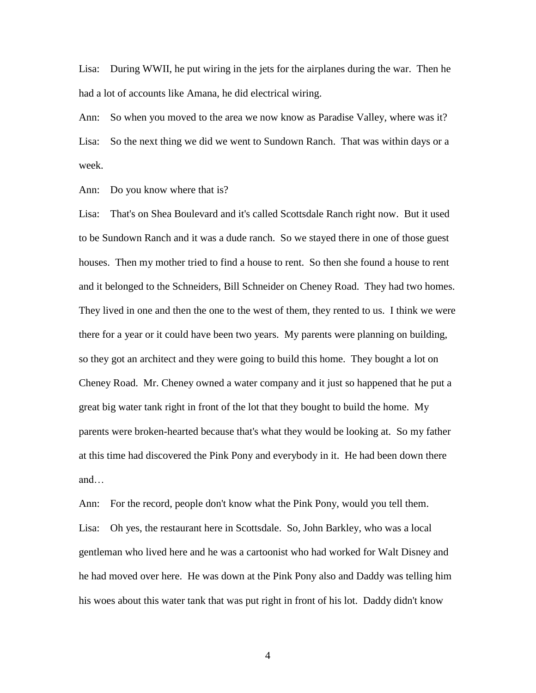Lisa: During WWII, he put wiring in the jets for the airplanes during the war. Then he had a lot of accounts like Amana, he did electrical wiring.

Ann: So when you moved to the area we now know as Paradise Valley, where was it? Lisa: So the next thing we did we went to Sundown Ranch. That was within days or a week.

Ann: Do you know where that is?

Lisa: That's on Shea Boulevard and it's called Scottsdale Ranch right now. But it used to be Sundown Ranch and it was a dude ranch. So we stayed there in one of those guest houses. Then my mother tried to find a house to rent. So then she found a house to rent and it belonged to the Schneiders, Bill Schneider on Cheney Road. They had two homes. They lived in one and then the one to the west of them, they rented to us. I think we were there for a year or it could have been two years. My parents were planning on building, so they got an architect and they were going to build this home. They bought a lot on Cheney Road. Mr. Cheney owned a water company and it just so happened that he put a great big water tank right in front of the lot that they bought to build the home. My parents were broken-hearted because that's what they would be looking at. So my father at this time had discovered the Pink Pony and everybody in it. He had been down there and…

Ann: For the record, people don't know what the Pink Pony, would you tell them. Lisa: Oh yes, the restaurant here in Scottsdale. So, John Barkley, who was a local gentleman who lived here and he was a cartoonist who had worked for Walt Disney and he had moved over here. He was down at the Pink Pony also and Daddy was telling him his woes about this water tank that was put right in front of his lot. Daddy didn't know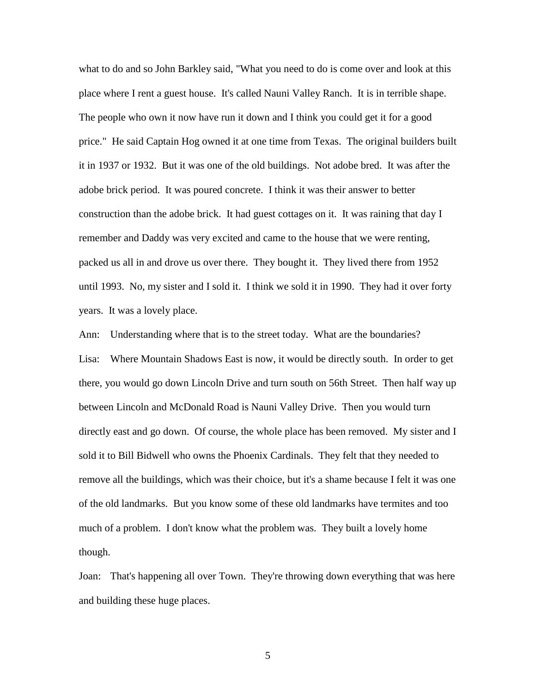what to do and so John Barkley said, "What you need to do is come over and look at this place where I rent a guest house. It's called Nauni Valley Ranch. It is in terrible shape. The people who own it now have run it down and I think you could get it for a good price." He said Captain Hog owned it at one time from Texas. The original builders built it in 1937 or 1932. But it was one of the old buildings. Not adobe bred. It was after the adobe brick period. It was poured concrete. I think it was their answer to better construction than the adobe brick. It had guest cottages on it. It was raining that day I remember and Daddy was very excited and came to the house that we were renting, packed us all in and drove us over there. They bought it. They lived there from 1952 until 1993. No, my sister and I sold it. I think we sold it in 1990. They had it over forty years. It was a lovely place.

Ann: Understanding where that is to the street today. What are the boundaries? Lisa: Where Mountain Shadows East is now, it would be directly south. In order to get there, you would go down Lincoln Drive and turn south on 56th Street. Then half way up between Lincoln and McDonald Road is Nauni Valley Drive. Then you would turn directly east and go down. Of course, the whole place has been removed. My sister and I sold it to Bill Bidwell who owns the Phoenix Cardinals. They felt that they needed to remove all the buildings, which was their choice, but it's a shame because I felt it was one of the old landmarks. But you know some of these old landmarks have termites and too much of a problem. I don't know what the problem was. They built a lovely home though.

Joan: That's happening all over Town. They're throwing down everything that was here and building these huge places.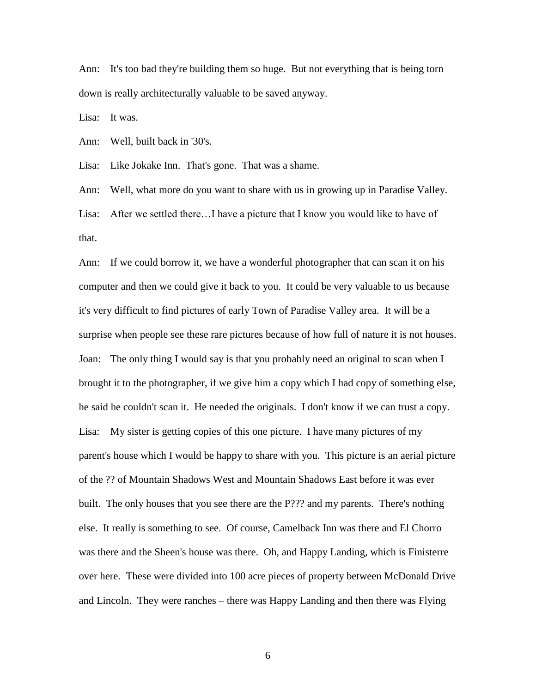Ann: It's too bad they're building them so huge. But not everything that is being torn down is really architecturally valuable to be saved anyway.

Lisa: It was.

Ann: Well, built back in '30's.

Lisa: Like Jokake Inn. That's gone. That was a shame.

Ann: Well, what more do you want to share with us in growing up in Paradise Valley. Lisa: After we settled there…I have a picture that I know you would like to have of that.

Ann: If we could borrow it, we have a wonderful photographer that can scan it on his computer and then we could give it back to you. It could be very valuable to us because it's very difficult to find pictures of early Town of Paradise Valley area. It will be a surprise when people see these rare pictures because of how full of nature it is not houses. Joan: The only thing I would say is that you probably need an original to scan when I brought it to the photographer, if we give him a copy which I had copy of something else, he said he couldn't scan it. He needed the originals. I don't know if we can trust a copy. Lisa: My sister is getting copies of this one picture. I have many pictures of my parent's house which I would be happy to share with you. This picture is an aerial picture of the ?? of Mountain Shadows West and Mountain Shadows East before it was ever built. The only houses that you see there are the P??? and my parents. There's nothing else. It really is something to see. Of course, Camelback Inn was there and El Chorro was there and the Sheen's house was there. Oh, and Happy Landing, which is Finisterre over here. These were divided into 100 acre pieces of property between McDonald Drive and Lincoln. They were ranches – there was Happy Landing and then there was Flying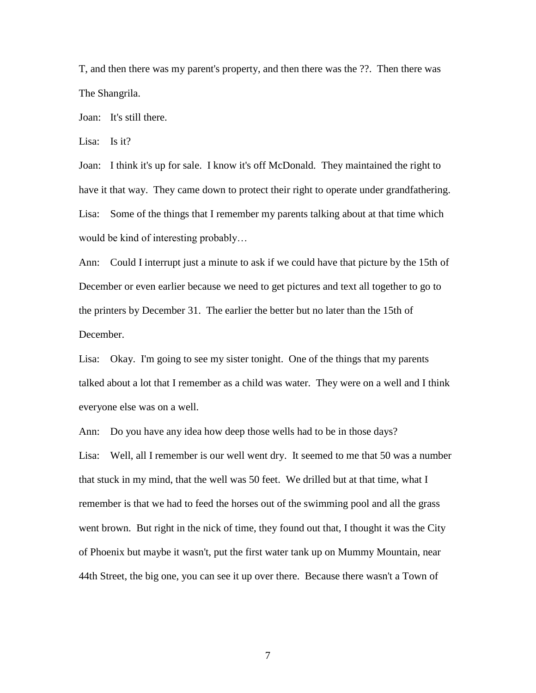T, and then there was my parent's property, and then there was the ??. Then there was The Shangrila.

Joan: It's still there.

Lisa: Is it?

Joan: I think it's up for sale. I know it's off McDonald. They maintained the right to have it that way. They came down to protect their right to operate under grandfathering. Lisa: Some of the things that I remember my parents talking about at that time which would be kind of interesting probably…

Ann: Could I interrupt just a minute to ask if we could have that picture by the 15th of December or even earlier because we need to get pictures and text all together to go to the printers by December 31. The earlier the better but no later than the 15th of December.

Lisa: Okay. I'm going to see my sister tonight. One of the things that my parents talked about a lot that I remember as a child was water. They were on a well and I think everyone else was on a well.

Ann: Do you have any idea how deep those wells had to be in those days? Lisa: Well, all I remember is our well went dry. It seemed to me that 50 was a number that stuck in my mind, that the well was 50 feet. We drilled but at that time, what I remember is that we had to feed the horses out of the swimming pool and all the grass went brown. But right in the nick of time, they found out that, I thought it was the City of Phoenix but maybe it wasn't, put the first water tank up on Mummy Mountain, near 44th Street, the big one, you can see it up over there. Because there wasn't a Town of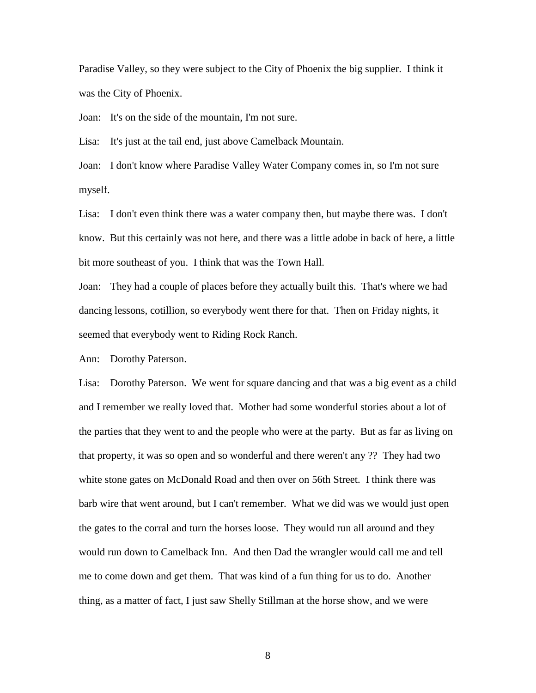Paradise Valley, so they were subject to the City of Phoenix the big supplier. I think it was the City of Phoenix.

Joan: It's on the side of the mountain, I'm not sure.

Lisa: It's just at the tail end, just above Camelback Mountain.

Joan: I don't know where Paradise Valley Water Company comes in, so I'm not sure myself.

Lisa: I don't even think there was a water company then, but maybe there was. I don't know. But this certainly was not here, and there was a little adobe in back of here, a little bit more southeast of you. I think that was the Town Hall.

Joan: They had a couple of places before they actually built this. That's where we had dancing lessons, cotillion, so everybody went there for that. Then on Friday nights, it seemed that everybody went to Riding Rock Ranch.

Ann: Dorothy Paterson.

Lisa: Dorothy Paterson. We went for square dancing and that was a big event as a child and I remember we really loved that. Mother had some wonderful stories about a lot of the parties that they went to and the people who were at the party. But as far as living on that property, it was so open and so wonderful and there weren't any ?? They had two white stone gates on McDonald Road and then over on 56th Street. I think there was barb wire that went around, but I can't remember. What we did was we would just open the gates to the corral and turn the horses loose. They would run all around and they would run down to Camelback Inn. And then Dad the wrangler would call me and tell me to come down and get them. That was kind of a fun thing for us to do. Another thing, as a matter of fact, I just saw Shelly Stillman at the horse show, and we were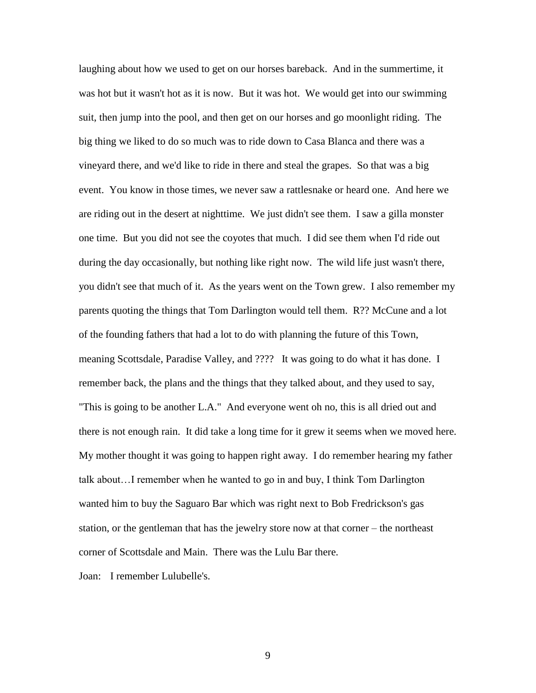laughing about how we used to get on our horses bareback. And in the summertime, it was hot but it wasn't hot as it is now. But it was hot. We would get into our swimming suit, then jump into the pool, and then get on our horses and go moonlight riding. The big thing we liked to do so much was to ride down to Casa Blanca and there was a vineyard there, and we'd like to ride in there and steal the grapes. So that was a big event. You know in those times, we never saw a rattlesnake or heard one. And here we are riding out in the desert at nighttime. We just didn't see them. I saw a gilla monster one time. But you did not see the coyotes that much. I did see them when I'd ride out during the day occasionally, but nothing like right now. The wild life just wasn't there, you didn't see that much of it. As the years went on the Town grew. I also remember my parents quoting the things that Tom Darlington would tell them. R?? McCune and a lot of the founding fathers that had a lot to do with planning the future of this Town, meaning Scottsdale, Paradise Valley, and ???? It was going to do what it has done. I remember back, the plans and the things that they talked about, and they used to say, "This is going to be another L.A." And everyone went oh no, this is all dried out and there is not enough rain. It did take a long time for it grew it seems when we moved here. My mother thought it was going to happen right away. I do remember hearing my father talk about…I remember when he wanted to go in and buy, I think Tom Darlington wanted him to buy the Saguaro Bar which was right next to Bob Fredrickson's gas station, or the gentleman that has the jewelry store now at that corner – the northeast corner of Scottsdale and Main. There was the Lulu Bar there.

Joan: I remember Lulubelle's.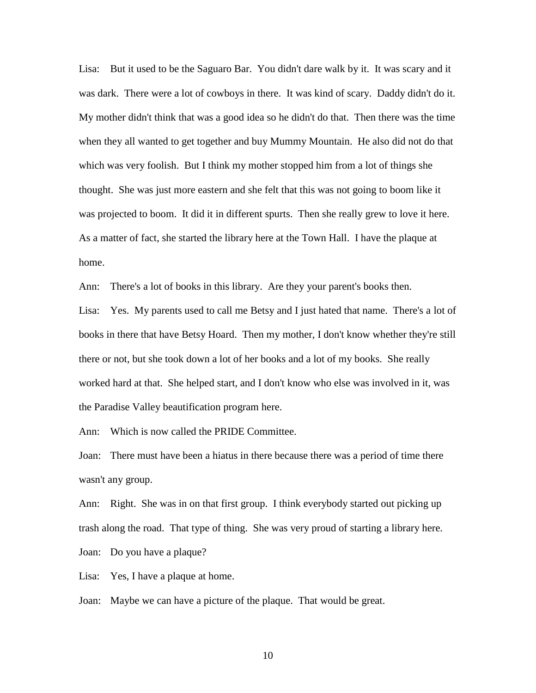Lisa: But it used to be the Saguaro Bar. You didn't dare walk by it. It was scary and it was dark. There were a lot of cowboys in there. It was kind of scary. Daddy didn't do it. My mother didn't think that was a good idea so he didn't do that. Then there was the time when they all wanted to get together and buy Mummy Mountain. He also did not do that which was very foolish. But I think my mother stopped him from a lot of things she thought. She was just more eastern and she felt that this was not going to boom like it was projected to boom. It did it in different spurts. Then she really grew to love it here. As a matter of fact, she started the library here at the Town Hall. I have the plaque at home.

Ann: There's a lot of books in this library. Are they your parent's books then.

Lisa: Yes. My parents used to call me Betsy and I just hated that name. There's a lot of books in there that have Betsy Hoard. Then my mother, I don't know whether they're still there or not, but she took down a lot of her books and a lot of my books. She really worked hard at that. She helped start, and I don't know who else was involved in it, was the Paradise Valley beautification program here.

Ann: Which is now called the PRIDE Committee.

Joan: There must have been a hiatus in there because there was a period of time there wasn't any group.

Ann: Right. She was in on that first group. I think everybody started out picking up trash along the road. That type of thing. She was very proud of starting a library here.

Joan: Do you have a plaque?

Lisa: Yes, I have a plaque at home.

Joan: Maybe we can have a picture of the plaque. That would be great.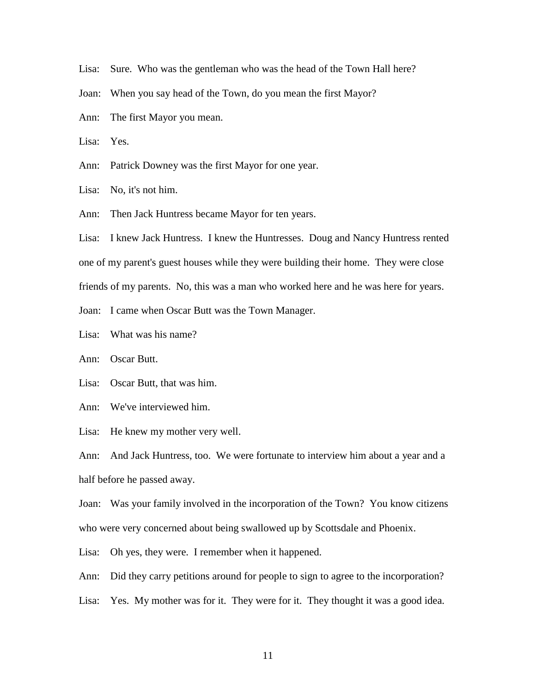Lisa: Sure. Who was the gentleman who was the head of the Town Hall here?

Joan: When you say head of the Town, do you mean the first Mayor?

Ann: The first Mayor you mean.

Lisa: Yes.

Ann: Patrick Downey was the first Mayor for one year.

Lisa: No, it's not him.

Ann: Then Jack Huntress became Mayor for ten years.

Lisa: I knew Jack Huntress. I knew the Huntresses. Doug and Nancy Huntress rented one of my parent's guest houses while they were building their home. They were close friends of my parents. No, this was a man who worked here and he was here for years.

Joan: I came when Oscar Butt was the Town Manager.

Lisa: What was his name?

Ann: Oscar Butt.

Lisa: Oscar Butt, that was him.

Ann: We've interviewed him.

Lisa: He knew my mother very well.

Ann: And Jack Huntress, too. We were fortunate to interview him about a year and a half before he passed away.

Joan: Was your family involved in the incorporation of the Town? You know citizens who were very concerned about being swallowed up by Scottsdale and Phoenix.

Lisa: Oh yes, they were. I remember when it happened.

Ann: Did they carry petitions around for people to sign to agree to the incorporation?

Lisa: Yes. My mother was for it. They were for it. They thought it was a good idea.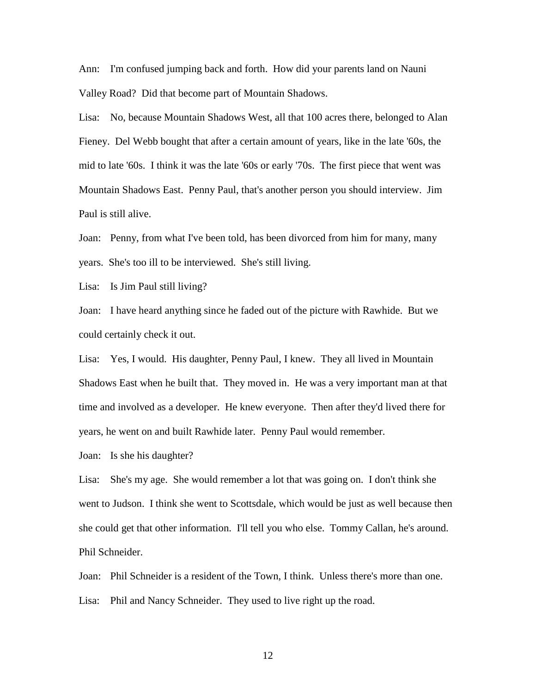Ann: I'm confused jumping back and forth. How did your parents land on Nauni Valley Road? Did that become part of Mountain Shadows.

Lisa: No, because Mountain Shadows West, all that 100 acres there, belonged to Alan Fieney. Del Webb bought that after a certain amount of years, like in the late '60s, the mid to late '60s. I think it was the late '60s or early '70s. The first piece that went was Mountain Shadows East. Penny Paul, that's another person you should interview. Jim Paul is still alive.

Joan: Penny, from what I've been told, has been divorced from him for many, many years. She's too ill to be interviewed. She's still living.

Lisa: Is Jim Paul still living?

Joan: I have heard anything since he faded out of the picture with Rawhide. But we could certainly check it out.

Lisa: Yes, I would. His daughter, Penny Paul, I knew. They all lived in Mountain Shadows East when he built that. They moved in. He was a very important man at that time and involved as a developer. He knew everyone. Then after they'd lived there for years, he went on and built Rawhide later. Penny Paul would remember.

Joan: Is she his daughter?

Lisa: She's my age. She would remember a lot that was going on. I don't think she went to Judson. I think she went to Scottsdale, which would be just as well because then she could get that other information. I'll tell you who else. Tommy Callan, he's around. Phil Schneider.

Joan: Phil Schneider is a resident of the Town, I think. Unless there's more than one. Lisa: Phil and Nancy Schneider. They used to live right up the road.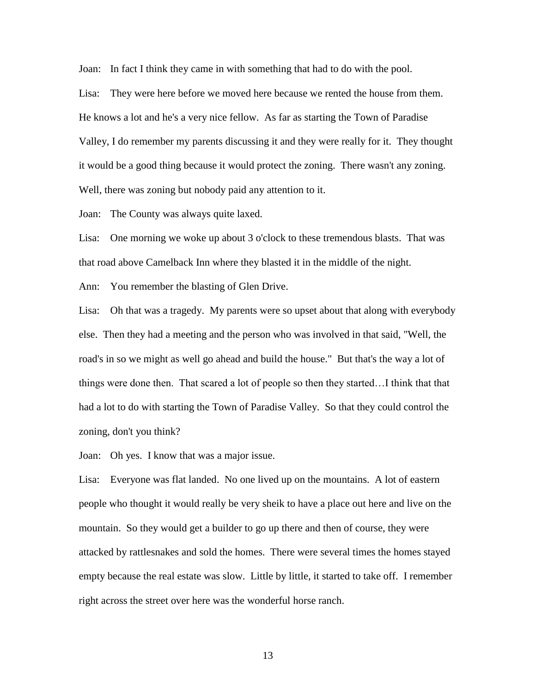Joan: In fact I think they came in with something that had to do with the pool. Lisa: They were here before we moved here because we rented the house from them. He knows a lot and he's a very nice fellow. As far as starting the Town of Paradise Valley, I do remember my parents discussing it and they were really for it. They thought it would be a good thing because it would protect the zoning. There wasn't any zoning. Well, there was zoning but nobody paid any attention to it.

Joan: The County was always quite laxed.

Lisa: One morning we woke up about 3 o'clock to these tremendous blasts. That was that road above Camelback Inn where they blasted it in the middle of the night.

Ann: You remember the blasting of Glen Drive.

Lisa: Oh that was a tragedy. My parents were so upset about that along with everybody else. Then they had a meeting and the person who was involved in that said, "Well, the road's in so we might as well go ahead and build the house." But that's the way a lot of things were done then. That scared a lot of people so then they started…I think that that had a lot to do with starting the Town of Paradise Valley. So that they could control the zoning, don't you think?

Joan: Oh yes. I know that was a major issue.

Lisa: Everyone was flat landed. No one lived up on the mountains. A lot of eastern people who thought it would really be very sheik to have a place out here and live on the mountain. So they would get a builder to go up there and then of course, they were attacked by rattlesnakes and sold the homes. There were several times the homes stayed empty because the real estate was slow. Little by little, it started to take off. I remember right across the street over here was the wonderful horse ranch.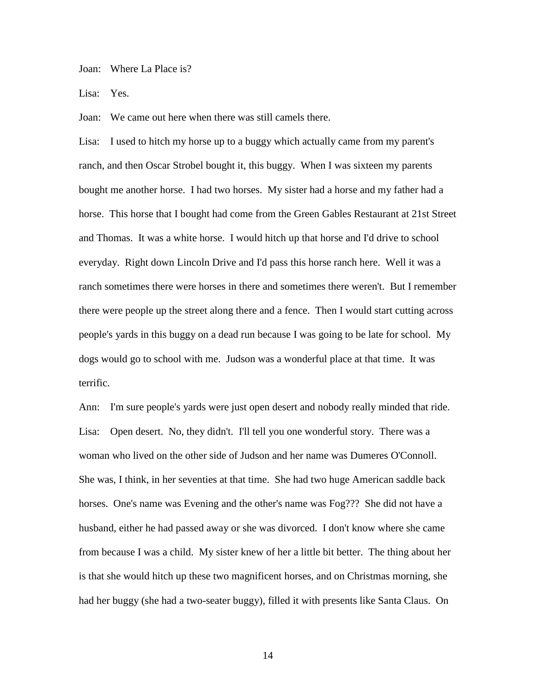Joan: Where La Place is?

Lisa: Yes.

Joan: We came out here when there was still camels there.

Lisa: I used to hitch my horse up to a buggy which actually came from my parent's ranch, and then Oscar Strobel bought it, this buggy. When I was sixteen my parents bought me another horse. I had two horses. My sister had a horse and my father had a horse. This horse that I bought had come from the Green Gables Restaurant at 21st Street and Thomas. It was a white horse. I would hitch up that horse and I'd drive to school everyday. Right down Lincoln Drive and I'd pass this horse ranch here. Well it was a ranch sometimes there were horses in there and sometimes there weren't. But I remember there were people up the street along there and a fence. Then I would start cutting across people's yards in this buggy on a dead run because I was going to be late for school. My dogs would go to school with me. Judson was a wonderful place at that time. It was terrific.

Ann: I'm sure people's yards were just open desert and nobody really minded that ride. Lisa: Open desert. No, they didn't. I'll tell you one wonderful story. There was a woman who lived on the other side of Judson and her name was Dumeres O'Connoll. She was, I think, in her seventies at that time. She had two huge American saddle back horses. One's name was Evening and the other's name was Fog??? She did not have a husband, either he had passed away or she was divorced. I don't know where she came from because I was a child. My sister knew of her a little bit better. The thing about her is that she would hitch up these two magnificent horses, and on Christmas morning, she had her buggy (she had a two-seater buggy), filled it with presents like Santa Claus. On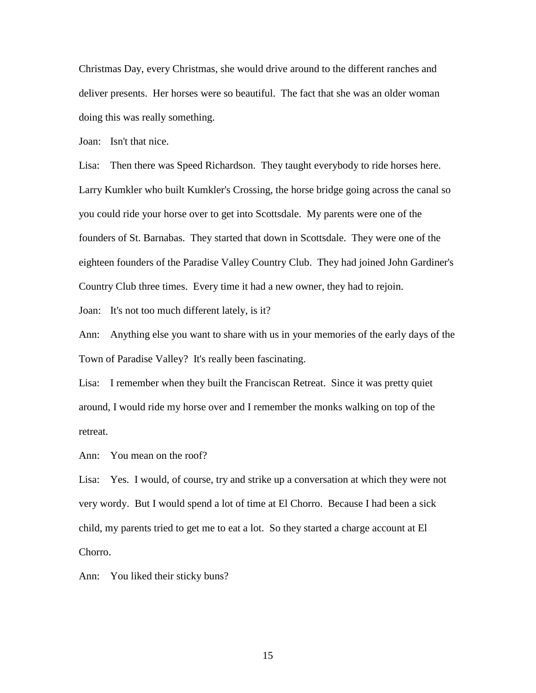Christmas Day, every Christmas, she would drive around to the different ranches and deliver presents. Her horses were so beautiful. The fact that she was an older woman doing this was really something.

Joan: Isn't that nice.

Lisa: Then there was Speed Richardson. They taught everybody to ride horses here. Larry Kumkler who built Kumkler's Crossing, the horse bridge going across the canal so you could ride your horse over to get into Scottsdale. My parents were one of the founders of St. Barnabas. They started that down in Scottsdale. They were one of the eighteen founders of the Paradise Valley Country Club. They had joined John Gardiner's Country Club three times. Every time it had a new owner, they had to rejoin.

Joan: It's not too much different lately, is it?

Ann: Anything else you want to share with us in your memories of the early days of the Town of Paradise Valley? It's really been fascinating.

Lisa: I remember when they built the Franciscan Retreat. Since it was pretty quiet around, I would ride my horse over and I remember the monks walking on top of the retreat.

Ann: You mean on the roof?

Lisa: Yes. I would, of course, try and strike up a conversation at which they were not very wordy. But I would spend a lot of time at El Chorro. Because I had been a sick child, my parents tried to get me to eat a lot. So they started a charge account at El Chorro.

Ann: You liked their sticky buns?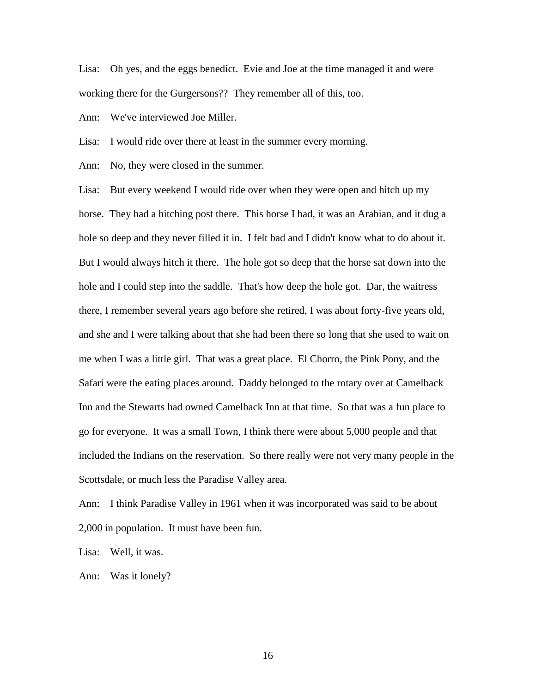Lisa: Oh yes, and the eggs benedict. Evie and Joe at the time managed it and were working there for the Gurgersons?? They remember all of this, too.

Ann: We've interviewed Joe Miller.

Lisa: I would ride over there at least in the summer every morning.

Ann: No, they were closed in the summer.

Lisa: But every weekend I would ride over when they were open and hitch up my horse. They had a hitching post there. This horse I had, it was an Arabian, and it dug a hole so deep and they never filled it in. I felt bad and I didn't know what to do about it. But I would always hitch it there. The hole got so deep that the horse sat down into the hole and I could step into the saddle. That's how deep the hole got. Dar, the waitress there, I remember several years ago before she retired, I was about forty-five years old, and she and I were talking about that she had been there so long that she used to wait on me when I was a little girl. That was a great place. El Chorro, the Pink Pony, and the Safari were the eating places around. Daddy belonged to the rotary over at Camelback Inn and the Stewarts had owned Camelback Inn at that time. So that was a fun place to go for everyone. It was a small Town, I think there were about 5,000 people and that included the Indians on the reservation. So there really were not very many people in the Scottsdale, or much less the Paradise Valley area.

Ann: I think Paradise Valley in 1961 when it was incorporated was said to be about 2,000 in population. It must have been fun.

Lisa: Well, it was.

Ann: Was it lonely?